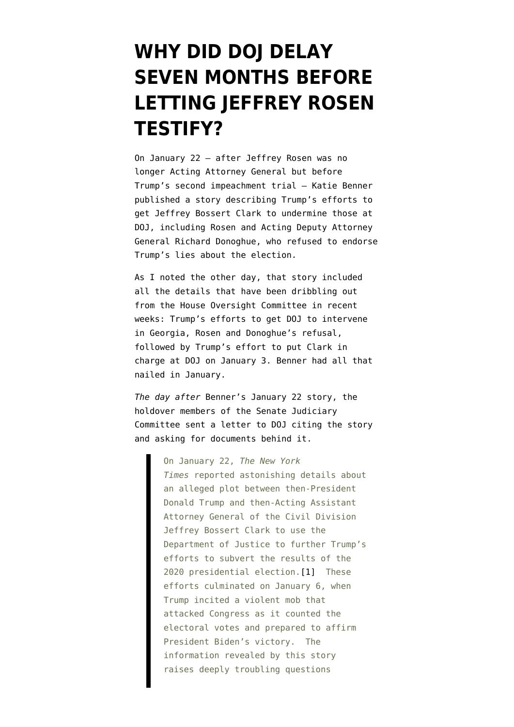## **[WHY DID DOJ DELAY](https://www.emptywheel.net/2021/08/08/why-did-doj-delay-seven-months-before-obtaining-jeffrey-rosens-testimony/) [SEVEN MONTHS BEFORE](https://www.emptywheel.net/2021/08/08/why-did-doj-delay-seven-months-before-obtaining-jeffrey-rosens-testimony/) [LETTING JEFFREY ROSEN](https://www.emptywheel.net/2021/08/08/why-did-doj-delay-seven-months-before-obtaining-jeffrey-rosens-testimony/) [TESTIFY?](https://www.emptywheel.net/2021/08/08/why-did-doj-delay-seven-months-before-obtaining-jeffrey-rosens-testimony/)**

On January 22 — after Jeffrey Rosen was no longer Acting Attorney General but [before](https://www.washingtonpost.com/politics/interactive/2021/evidence-trump-second-impeachment/) [Trump's second impeachment trial](https://www.washingtonpost.com/politics/interactive/2021/evidence-trump-second-impeachment/) — Katie Benner published [a story](https://www.nytimes.com/2021/01/22/us/politics/jeffrey-clark-trump-justice-department-election.html) describing Trump's efforts to get Jeffrey Bossert Clark to undermine those at DOJ, including Rosen and Acting Deputy Attorney General Richard Donoghue, who refused to endorse Trump's lies about the election.

As I [noted the other day,](https://twitter.com/emptywheel/status/1422923762010308609) that story included all the details that have been dribbling out from the House Oversight Committee in recent weeks: Trump's efforts to get DOJ to intervene in Georgia, Rosen and Donoghue's refusal, followed by Trump's effort to put Clark in charge at DOJ on January 3. Benner had all that nailed in January.

*The day after* Benner's January 22 story, the holdover members of the Senate Judiciary Committee [sent a letter](https://www.judiciary.senate.gov/press/dem/releases/senate-judiciary-committee-democrats-seek-answers-about-dojs-role-in-trumps-scheme-to-overturn-the-2020-election) to DOJ citing the story and asking for documents behind it.

> On January 22, *The New York Times* reported astonishing details about an alleged plot between then-President Donald Trump and then-Acting Assistant Attorney General of the Civil Division Jeffrey Bossert Clark to use the Department of Justice to further Trump's efforts to subvert the results of the 2020 presidential election[.\[1\]](#page--1-0) These efforts culminated on January 6, when Trump incited a violent mob that attacked Congress as it counted the electoral votes and prepared to affirm President Biden's victory. The information revealed by this story raises deeply troubling questions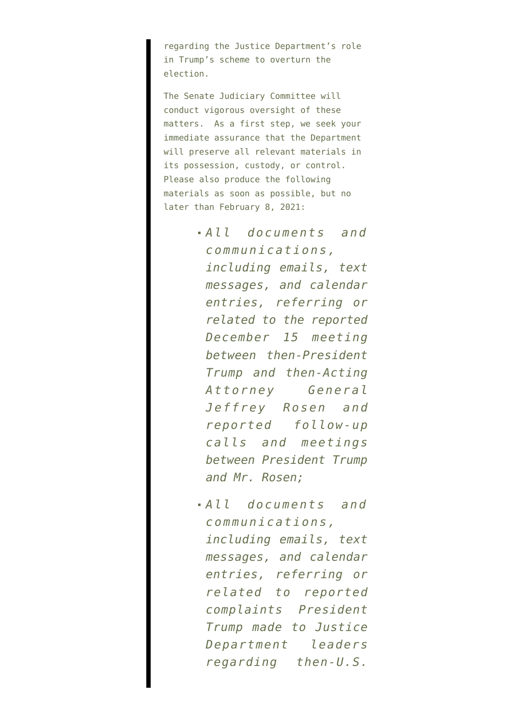regarding the Justice Department's role in Trump's scheme to overturn the election.

The Senate Judiciary Committee will conduct vigorous oversight of these matters. As a first step, we seek your immediate assurance that the Department will preserve all relevant materials in its possession, custody, or control. Please also produce the following materials as soon as possible, but no later than February 8, 2021:

- *All documents and communications, including emails, text messages, and calendar entries, referring or related to the reported December 15 meeting between then-President Trump and then-Acting Attorney General Jeffrey Rosen and reported follow-up calls and meetings between President Trump and Mr. Rosen;*
- *All documents and communications, including emails, text messages, and calendar entries, referring or related to reported complaints President Trump made to Justice Department leaders regarding then-U.S.*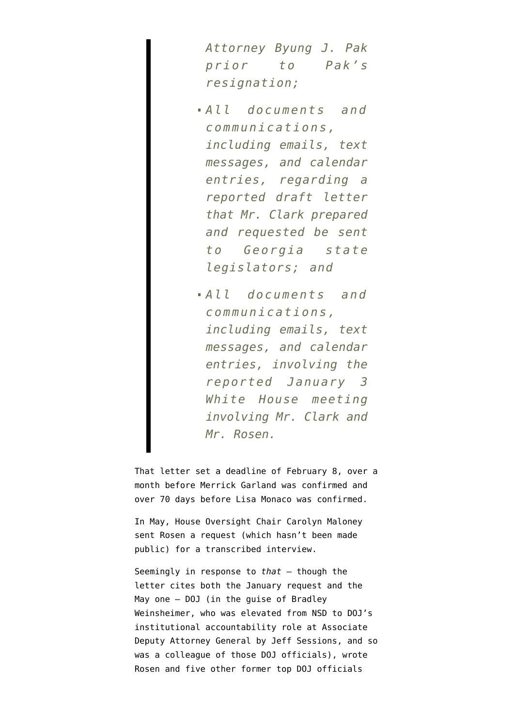*Attorney Byung J. Pak prior to Pak's resignation;*

*All documents and communications, including emails, text messages, and calendar entries, regarding a reported draft letter that Mr. Clark prepared and requested be sent to Georgia state legislators; and*

*All documents and communications, including emails, text messages, and calendar entries, involving the reported January 3 White House meeting involving Mr. Clark and Mr. Rosen.*

That letter set a deadline of February 8, over a month before Merrick Garland [was confirmed](https://www.washingtonpost.com/national-security/merrick-garland-confirmation-vote/2021/03/10/2ff813a0-80fc-11eb-81db-b02f0398f49a_story.html) and over [70 days before Lisa Monaco was confirmed](https://www.reuters.com/world/us/majority-us-senate-votes-confirm-lisa-monaco-deputy-attorney-general-2021-04-20/).

In May, House Oversight Chair Carolyn Maloney sent Rosen a request (which hasn't been made public) for a transcribed interview.

Seemingly in response to *that* — though the letter cites both the January request and the May one — DOJ (in the guise of Bradley Weinsheimer, who was elevated from NSD to DOJ's institutional accountability role at Associate Deputy Attorney General [by Jeff Sessions,](https://www.justice.gov/opa/pr/attorney-general-jeff-sessions-announces-bradley-weinsheimer-replace-departing-associate) and so was a colleague of those DOJ officials), [wrote](https://www.justsecurity.org/wp-content/uploads/2021/07/DOJ-letters-to-former-U.S.-officials-authorizing-testimony-to-Congress-without-executive-privilege.pdf) Rosen and five other former top DOJ officials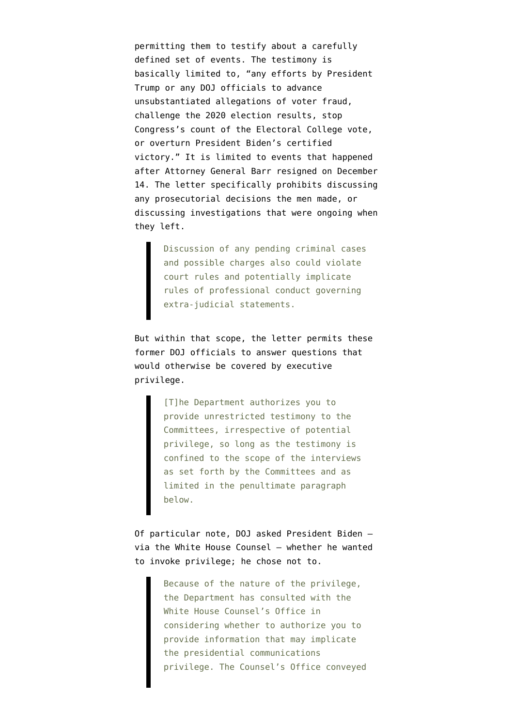permitting them to testify about a carefully defined set of events. The testimony is basically limited to, "any efforts by President Trump or any DOJ officials to advance unsubstantiated allegations of voter fraud, challenge the 2020 election results, stop Congress's count of the Electoral College vote, or overturn President Biden's certified victory." It is limited to events that happened after Attorney General Barr resigned on December 14. The letter specifically prohibits discussing any prosecutorial decisions the men made, or discussing investigations that were ongoing when they left.

> Discussion of any pending criminal cases and possible charges also could violate court rules and potentially implicate rules of professional conduct governing extra-judicial statements.

But within that scope, the letter permits these former DOJ officials to answer questions that would otherwise be covered by executive privilege.

> [T]he Department authorizes you to provide unrestricted testimony to the Committees, irrespective of potential privilege, so long as the testimony is confined to the scope of the interviews as set forth by the Committees and as limited in the penultimate paragraph below.

Of particular note, DOJ asked President Biden via the White House Counsel — whether he wanted to invoke privilege; he chose not to.

> Because of the nature of the privilege, the Department has consulted with the White House Counsel's Office in considering whether to authorize you to provide information that may implicate the presidential communications privilege. The Counsel's Office conveyed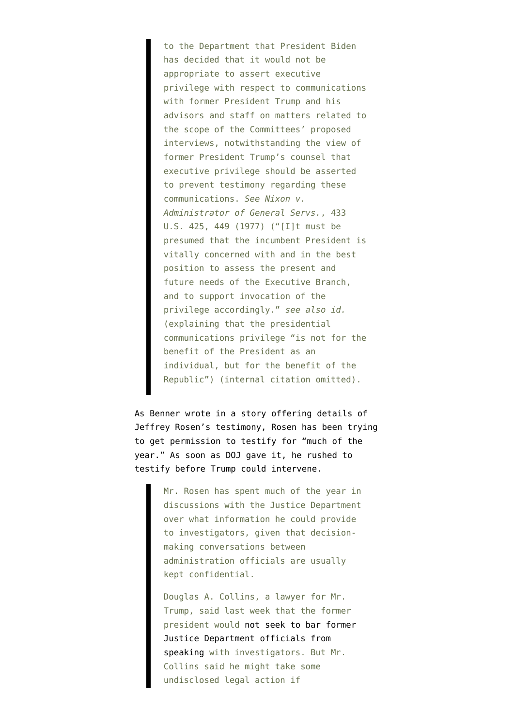to the Department that President Biden has decided that it would not be appropriate to assert executive privilege with respect to communications with former President Trump and his advisors and staff on matters related to the scope of the Committees' proposed interviews, notwithstanding the view of former President Trump's counsel that executive privilege should be asserted to prevent testimony regarding these communications. *See Nixon v. Administrator of General Servs.*, 433 U.S. 425, 449 (1977) ("[I]t must be presumed that the incumbent President is vitally concerned with and in the best position to assess the present and future needs of the Executive Branch, and to support invocation of the privilege accordingly." *see also id.* (explaining that the presidential communications privilege "is not for the benefit of the President as an individual, but for the benefit of the Republic") (internal citation omitted).

As [Benner wrote in a story](https://www.nytimes.com/2021/08/07/us/politics/jeffrey-rosen-trump-election.html) offering details of Jeffrey Rosen's testimony, Rosen has been trying to get permission to testify for "much of the year." As soon as DOJ gave it, he rushed to testify before Trump could intervene.

> Mr. Rosen has spent much of the year in discussions with the Justice Department over what information he could provide to investigators, given that decisionmaking conversations between administration officials are usually kept confidential.

Douglas A. Collins, a lawyer for Mr. Trump, said last week that the former president would [not seek to bar former](https://www.nytimes.com/2021/08/03/us/politics/trump-justice-dept-officials-testimony.html) [Justice Department officials from](https://www.nytimes.com/2021/08/03/us/politics/trump-justice-dept-officials-testimony.html) [speaking](https://www.nytimes.com/2021/08/03/us/politics/trump-justice-dept-officials-testimony.html) with investigators. But Mr. Collins said he might take some undisclosed legal action if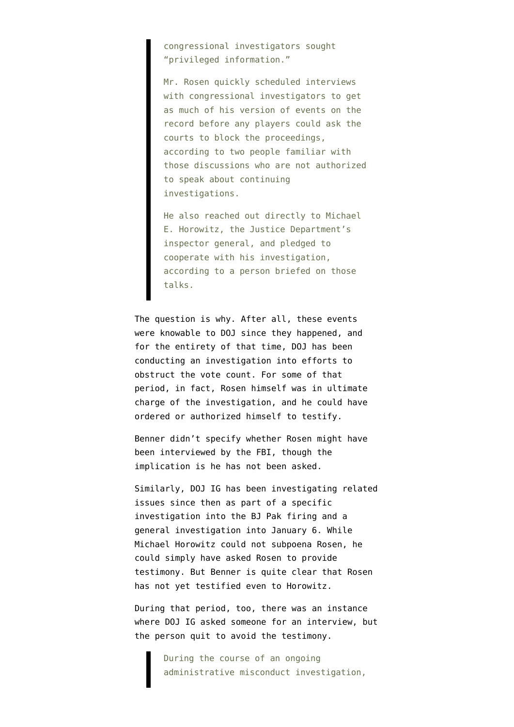congressional investigators sought "privileged information."

Mr. Rosen quickly scheduled interviews with congressional investigators to get as much of his version of events on the record before any players could ask the courts to block the proceedings, according to two people familiar with those discussions who are not authorized to speak about continuing investigations.

He also reached out directly to Michael E. Horowitz, the Justice Department's inspector general, and pledged to cooperate with his investigation, according to a person briefed on those talks.

The question is why. After all, these events were knowable to DOJ since they happened, and for the entirety of that time, DOJ has been conducting an investigation into efforts to obstruct the vote count. For some of that period, in fact, Rosen himself was in ultimate charge of the investigation, and he could have ordered or authorized himself to testify.

Benner didn't specify whether Rosen might have been interviewed by the FBI, though the implication is he has not been asked.

Similarly, DOJ IG has been investigating related issues since then as part of a specific investigation into the BJ Pak firing and a general investigation into January 6. While Michael Horowitz could not subpoena Rosen, he could simply have asked Rosen to provide testimony. But Benner is quite clear that Rosen has not yet testified even to Horowitz.

During that period, too, there was an instance where DOJ IG [asked](https://oig.justice.gov/sites/default/files/reports/21-061.pdf) someone for an interview, but the person quit to avoid the testimony.

> During the course of an ongoing administrative misconduct investigation,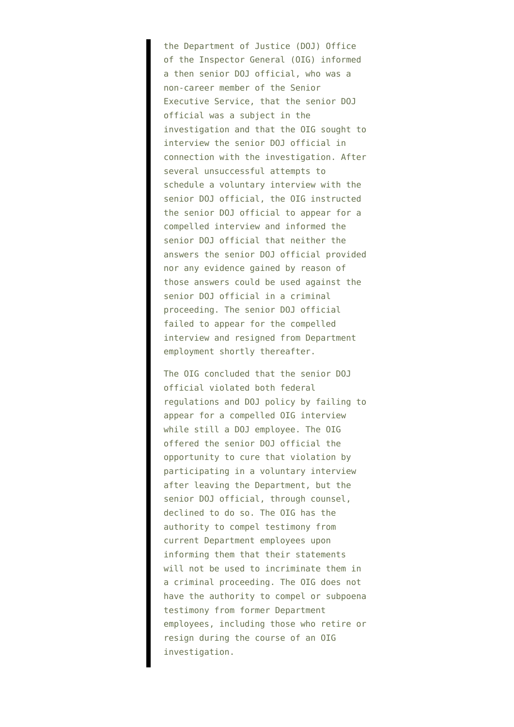the Department of Justice (DOJ) Office of the Inspector General (OIG) informed a then senior DOJ official, who was a non-career member of the Senior Executive Service, that the senior DOJ official was a subject in the investigation and that the OIG sought to interview the senior DOJ official in connection with the investigation. After several unsuccessful attempts to schedule a voluntary interview with the senior DOJ official, the OIG instructed the senior DOJ official to appear for a compelled interview and informed the senior DOJ official that neither the answers the senior DOJ official provided nor any evidence gained by reason of those answers could be used against the senior DOJ official in a criminal proceeding. The senior DOJ official failed to appear for the compelled interview and resigned from Department employment shortly thereafter.

The OIG concluded that the senior DOJ official violated both federal regulations and DOJ policy by failing to appear for a compelled OIG interview while still a DOJ employee. The OIG offered the senior DOJ official the opportunity to cure that violation by participating in a voluntary interview after leaving the Department, but the senior DOJ official, through counsel, declined to do so. The OIG has the authority to compel testimony from current Department employees upon informing them that their statements will not be used to incriminate them in a criminal proceeding. The OIG does not have the authority to compel or subpoena testimony from former Department employees, including those who retire or resign during the course of an OIG investigation.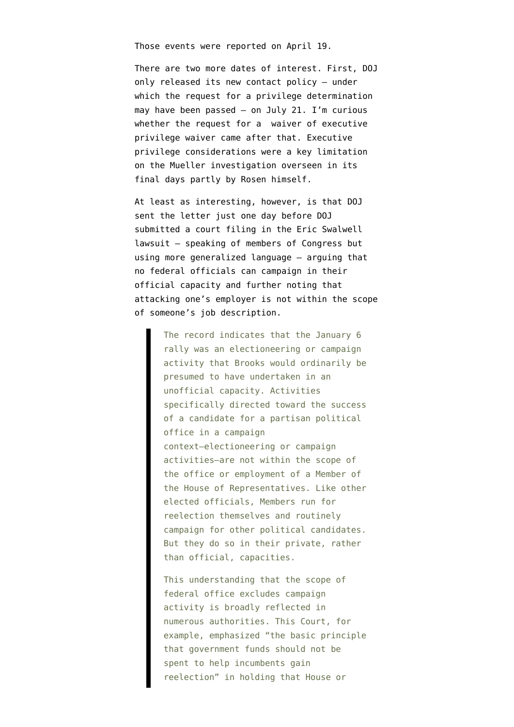Those events were reported on April 19.

There are two more dates of interest. First, DOJ only [released](https://www.justice.gov/ag/page/file/1413766/download) its new contact policy — under which the request for a privilege determination may have been passed — on July 21. I'm curious whether the request for a waiver of executive privilege waiver came after that. Executive privilege considerations were a key limitation on the Mueller investigation overseen in its final days partly by Rosen himself.

At least as interesting, however, is that DOJ sent the letter just one day before DOJ submitted [a court filing](https://storage.courtlistener.com/recap/gov.uscourts.dcd.228356/gov.uscourts.dcd.228356.33.0.pdf) in the Eric Swalwell lawsuit — speaking of members of Congress but using more generalized language — arguing that no federal officials can campaign in their official capacity and further noting that attacking one's employer is not within the scope of someone's job description.

> The record indicates that the January 6 rally was an electioneering or campaign activity that Brooks would ordinarily be presumed to have undertaken in an unofficial capacity. Activities specifically directed toward the success of a candidate for a partisan political office in a campaign context—electioneering or campaign activities—are not within the scope of the office or employment of a Member of the House of Representatives. Like other elected officials, Members run for reelection themselves and routinely campaign for other political candidates. But they do so in their private, rather than official, capacities.

> This understanding that the scope of federal office excludes campaign activity is broadly reflected in numerous authorities. This Court, for example, emphasized "the basic principle that government funds should not be spent to help incumbents gain reelection" in holding that House or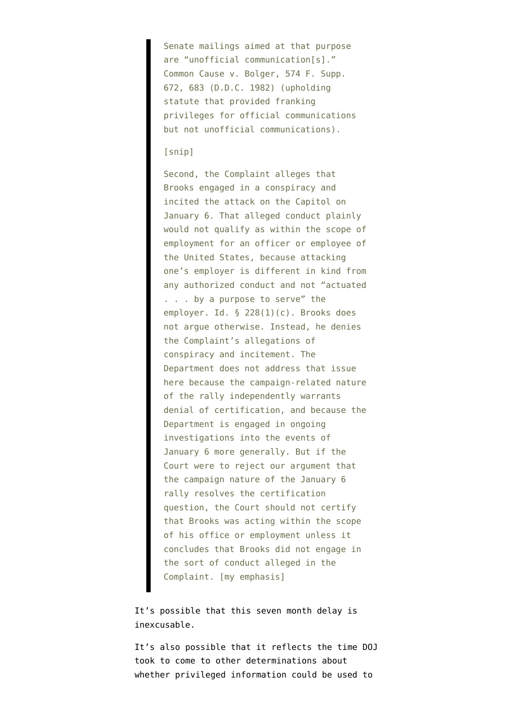Senate mailings aimed at that purpose are "unofficial communication[s]." Common Cause v. Bolger, 574 F. Supp. 672, 683 (D.D.C. 1982) (upholding statute that provided franking privileges for official communications but not unofficial communications).

## [snip]

Second, the Complaint alleges that Brooks engaged in a conspiracy and incited the attack on the Capitol on January 6. That alleged conduct plainly would not qualify as within the scope of employment for an officer or employee of the United States, because attacking one's employer is different in kind from any authorized conduct and not "actuated . . . by a purpose to serve" the employer. Id. § 228(1)(c). Brooks does not argue otherwise. Instead, he denies the Complaint's allegations of conspiracy and incitement. The Department does not address that issue here because the campaign-related nature of the rally independently warrants denial of certification, and because the Department is engaged in ongoing investigations into the events of January 6 more generally. But if the Court were to reject our argument that the campaign nature of the January 6 rally resolves the certification question, the Court should not certify that Brooks was acting within the scope of his office or employment unless it concludes that Brooks did not engage in the sort of conduct alleged in the Complaint. [my emphasis]

It's possible that this seven month delay is inexcusable.

It's also possible that it reflects the time DOJ took to come to other determinations about whether privileged information could be used to